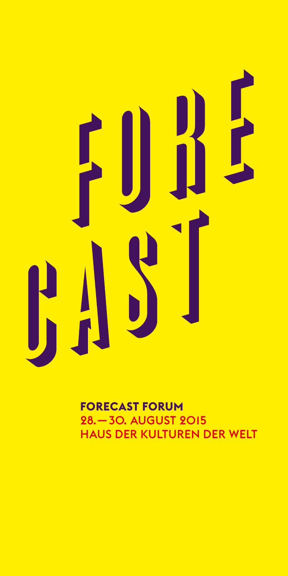# H  $\frac{1}{\sqrt{2}}$ E

**FORECAST FORUM** 28. — 30. August 2015 HAus der Kulturen der Welt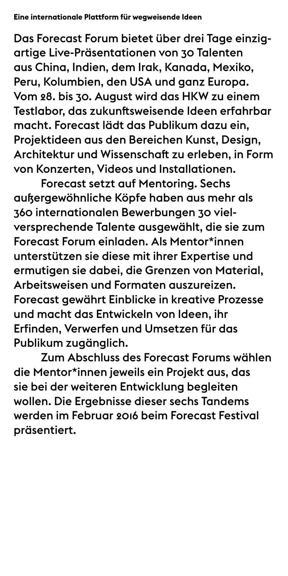# **Eine internationale Plattform für wegweisende Ideen**

Das Forecast Forum bietet über drei Tage einzigartige live-Präsentationen von 30 talenten aus China, Indien, dem Irak, Kanada, Mexiko, Peru, Kolumbien, den USA und ganz Europa. Vom 28. bis 30. August wird das HKW zu einem Testlabor, das zukunftsweisende Ideen erfahrbar macht. Forecast lädt das Publikum dazu ein, Projektideen aus den Bereichen Kunst, Design, Architektur und Wissenschaft zu erleben, in Form von Konzerten, Videos und Installationen.

 Forecast setzt auf Mentoring. sechs außergewöhnliche Köpfe haben aus mehr als 360 internationalen Bewerbungen 30 vielversprechende Talente ausgewählt, die sie zum Forecast Forum einladen. Als Mentor\*innen unterstützen sie diese mit ihrer Expertise und ermutigen sie dabei, die grenzen von Material, Arbeitsweisen und Formaten auszureizen. Forecast gewährt Einblicke in kreative Prozesse und macht das entwickeln von Ideen, ihr Erfinden, Verwerfen und Umsetzen für das Publikum zugänglich.

 Zum Abschluss des Forecast Forums wählen die Mentor\*innen jeweils ein Projekt aus, das sie bei der weiteren Entwicklung begleiten wollen. Die Ergebnisse dieser sechs Tandems werden im Februar 2016 beim Forecast Festival präsentiert.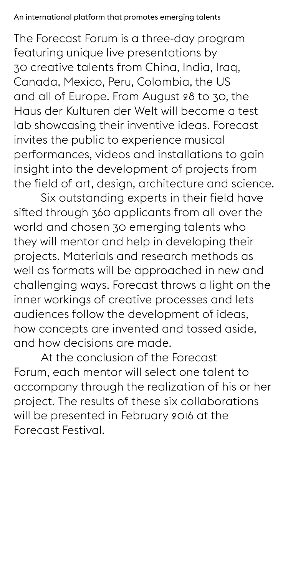The Forecast Forum is a three-day program featuring unique live presentations by 30 creative talents from China, India, Iraq, Canada, Mexico, Peru, Colombia, the US and all of Europe. From August 28 to 30, the Haus der Kulturen der Welt will become a test lab showcasing their inventive ideas. Forecast invites the public to experience musical performances, videos and installations to gain insight into the development of projects from the field of art, design, architecture and science.

 Six outstanding experts in their field have sited through 360 applicants from all over the world and chosen 30 emerging talents who they will mentor and help in developing their projects. Materials and research methods as well as formats will be approached in new and challenging ways. Forecast throws a light on the inner workings of creative processes and lets audiences follow the development of ideas, how concepts are invented and tossed aside, and how decisions are made.

 At the conclusion of the Forecast Forum, each mentor will select one talent to accompany through the realization of his or her project. The results of these six collaborations will be presented in February 2016 at the Forecast Festival.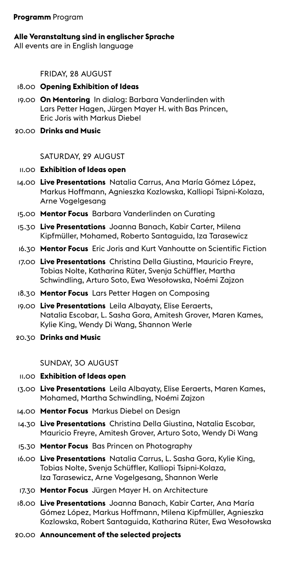#### **Programm** Program

#### **Alle Veranstaltung sind in englischer Sprache**

All events are in English language

### FriDay, 28 auGust

#### 18.00 **Opening Exhibition of Ideas**

- 19.00 **On Mentoring** in dialog: barbara Vanderlinden with Lars Peter hagen, Jürgen Mayer h. with bas Princen, **Fric Joris with Markus Diebel**
- 20.00 **Drinks and Music**

### saturDay, 29 auGust

### 11.00 **Exhibition of Ideas open**

- 14.00 **Live Presentations** natalia carrus, ana María Gómez López, Markus Hoffmann, Agnieszka Kozlowska, Kalliopi Tsipni-Kolaza, arne Vogelgesang
- 15.00 **Mentor Focus** barbara Vanderlinden on curating
- 15.30 **Live Presentations** Joanna banach, Kabir carter, Milena Kipfmüller, Mohamed, Roberto Santaguida, Iza Tarasewicz
- 16.30 Mentor Focus Eric Joris and Kurt Vanhoutte on Scientific Fiction
- 17.00 **Live Presentations** christina Della Giustina, Mauricio Freyre, Tobias Nolte, Katharina Rüter, Svenja Schüffler, Martha schwindling, arturo soto, ewa wesołowska, noémi zajzon
- 18.30 **Mentor Focus** Lars Petter hagen on composing
- 19.00 **Live Presentations** Leila albayaty, elise eeraerts, Natalia Escobar, L. Sasha Gora, Amitesh Grover, Maren Kames, Kylie King, wendy Di wang, shannon werle
- 20.30 **Drinks and Music**

#### sunDay, 30 auGust

#### 11.00 **Exhibition of Ideas open**

- 13.00 Live Presentations Leila Albayaty, Elise Eeraerts, Maren Kames, Mohamed, Martha Schwindling, Noémi Zajzon
- 14.00 **Mentor Focus** Markus Diebel on Design
- 14.30 **Live Presentations** christina Della Giustina, natalia escobar, Mauricio Freyre, amitesh Grover, arturo soto, wendy Di wang
- 15.30 **Mentor Focus** bas Princen on Photography
- 16.00 **Live Presentations** natalia carrus, L. sasha Gora, Kylie King, Tobias Nolte, Svenja Schüffler, Kalliopi Tsipni-Kolaza, Iza Tarasewicz, Arne Vogelgesang, Shannon Werle
- 17.30 **Mentor Focus** Jürgen Mayer h. on architecture
- 18.00 **Live Presentations** Joanna banach, Kabir carter, ana María Gómez López, Markus hoffmann, Milena Kipfmüller, agnieszka Kozlowska, Robert Santaguida, Katharina Rüter, Ewa Wesołowska
- 20.00 **Announcement of the selected projects**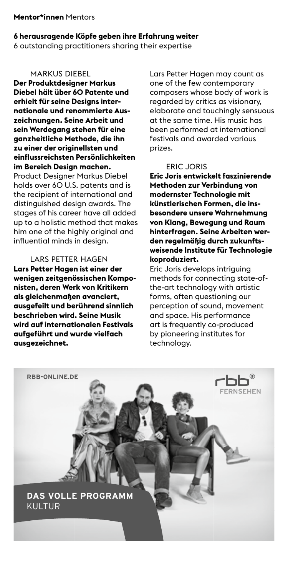#### **Mentor\*innen** Mentors

#### **6 herausragende Köpfe geben ihre Erfahrung weiter**

6 outstanding practitioners sharing their expertise

#### **MARKUS DIEBEL**

**Der Produktdesigner Markus Diebel hält über 60 Patente und erhielt für seine Designs internationale und renommierte Auszeichnungen. Seine Arbeit und sein Werdegang stehen für eine ganzheitliche Methode, die ihn zu einer der originellsten und einflussreichsten Persönlichkeiten im Bereich Design machen.** Product Designer Markus Diebel holds over 60 U.S. patents and is the recipient of international and distinguished design awards. The stages of his career have all added up to a holistic method that makes him one of the highly original and influential minds in desian.

# Lars Petter haGen

**Lars Petter Hagen ist einer der wenigen zeitgenössischen Komponisten, deren Werk von Kritikern als gleichenmaßen avanciert, ausgefeilt und berührend sinnlich beschrieben wird. Seine Musik wird auf internationalen Festivals aufgeführt und wurde vielfach ausgezeichnet.** 

Lars Petter hagen may count as one of the few contemporary composers whose body of work is regarded by critics as visionary, elaborate and touchingly sensuous at the same time. His music has been performed at international festivals and awarded various prizes.

#### eric Joris

**Eric Joris entwickelt faszinierende Methoden zur Verbindung von modernster Technologie mit künstlerischen Formen, die insbesondere unsere Wahrnehmung von Klang, Bewegung und Raum hinterfragen. Seine Arbeiten werden regelmäßig durch zukunftsweisende Institute für Technologie koproduziert.**

Eric Joris develops intriguing methods for connecting state-ofthe-art technology with artistic forms, often questioning our perception of sound, movement and space. his performance art is frequently co-produced by pioneering institutes for technology.

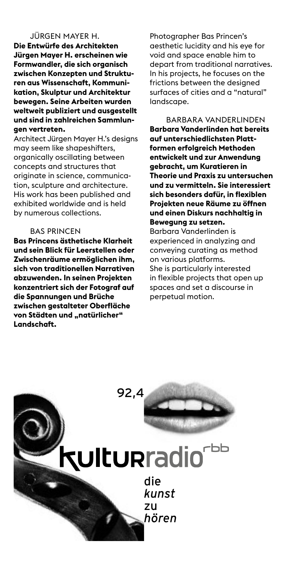# JürGen Mayer h.

**Die Entwürfe des Architekten Jürgen Mayer H. erscheinen wie Formwandler, die sich organisch zwischen Konzepten und Strukturen aus Wissenschaft, Kommunikation, Skulptur und Architektur bewegen. Seine Arbeiten wurden weltweit publiziert und ausgestellt und sind in zahlreichen Sammlungen vertreten.**

Architect Jürgen Mayer H.'s desians may seem like shapeshifters, organically oscillating between concepts and structures that originate in science, communication, sculpture and architecture. His work has been published and exhibited worldwide and is held by numerous collections.

#### bas Princen

**Bas Princens ästhetische Klarheit und sein Blick für Leerstellen oder Zwischenräume ermöglichen ihm, sich von traditionellen Narrativen abzuwenden. In seinen Projekten konzentriert sich der Fotograf auf die Spannungen und Brüche zwischen gestalteter Oberfläche**  von Städten und "natürlicher" **Landschaft.**

Photographer Bas Princen's aesthetic lucidity and his eye for void and space enable him to depart from traditional narratives. in his projects, he focuses on the frictions between the designed surfaces of cities and a "natural" landscape.

barbara VanDerLinDen **Barbara Vanderlinden hat bereits auf unterschiedlichsten Plattformen erfolgreich Methoden entwickelt und zur Anwendung gebracht, um Kuratieren in Theorie und Praxis zu untersuchen und zu vermitteln. Sie interessiert sich besonders dafür, in flexiblen Projekten neue Räume zu öffnen und einen Diskurs nachhaltig in Bewegung zu setzen.**

barbara Vanderlinden is experienced in analyzing and conveying curating as method on various platforms. she is particularly interested in flexible projects that open up spaces and set a discourse in perpetual motion.

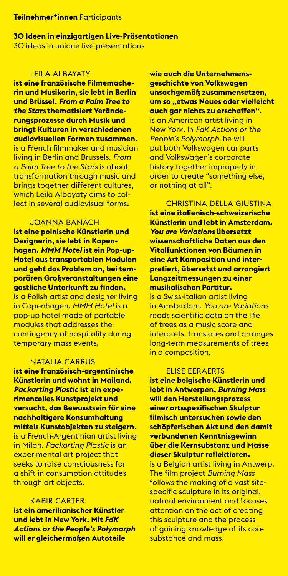#### **Teilnehmer\*innen** Participants

**30 Ideen in einzigartigen Live-Präsentationen**  30 ideas in unique live presentations

#### **LEILA ALBAYATY**

**ist eine französische Filmemacherin und Musikerin, sie lebt in Berlin und Brüssel.** *From a Palm Tree to the Stars* **thematisiert Veränderungsprozesse durch Musik und bringt Kulturen in verschiedenen audiovisuellen Formen zusammen.** is a French filmmaker and musician living in berlin and brussels. *From a Palm Tree to the Stars* is about transformation through music and brings together different cultures, which Leila Albayaty aims to collect in several audiovisual forms.

#### Joanna banach

**ist eine polnische Künstlerin und Designerin, sie lebt in Kopenhagen.** *MMM Hotel* **ist ein Pop-up-Hotel aus transportablen Modulen und geht das Problem an, bei temporären Großveranstaltungen eine gastliche Unterkunft zu finden.**  is a Polish artist and designer living in copenhagen. *MMM Hotel* is a pop-up hotel made of portable modules that addresses the contingency of hospitality during temporary mass events.

#### NATALIA CARRUS

**ist eine französisch-argentinische Künstlerin und wohnt in Mailand.**  *Packarting Plastic* **ist ein experimentelles Kunstprojekt und versucht, das Bewusstsein für eine nachhaltigere Konsumhaltung mittels Kunstobjekten zu steigern.** is a French-Argentinian artist living in Milan. *Packarting Plastic* is an experimental art project that seeks to raise consciousness for a shift in consumption attitudes through art objects.

#### Kabir carter

**ist ein amerikanischer Künstler und lebt in New York. Mit** *FdK Actions or the People's Polymorph*  **will er gleichermaßen Autoteile** 

**wie auch die Unternehmensgeschichte von Volkswagen unsachgemäß zusammensetzen, um so "etwas Neues oder vielleicht auch gar nichts zu erschaffen".** is an American artist living in **New York. In FdK Actions or the** *People's Polymorph,* he will put both Volkswagen car parts and Volkswagen's corporate history together improperly in order to create "something else, or nothing at all".

christina DeLLa Giustina **ist eine italienisch-schweizerische Künstlerin und lebt in Amsterdam.**  *You are Variations* **übersetzt wissenschaftliche Daten aus den Vitalfunktionen von Bäumen in eine Art Komposition und interpretiert, übersetzt und arrangiert Langzeitmessungen zu einer musikalischen Partitur.** 

is a Swiss-Italian artist living in amsterdam. *You are Variations*  reads scientific data on the life of trees as a music score and interprets, translates and arranges long-term measurements of trees in a composition.

#### **FLISE EERAERTS**

**ist eine belgische Künstlerin und lebt in Antwerpen.** *Burning Mass*  **will den Herstellungsprozess einer ortsspezifischen Skulptur filmisch untersuchen sowie den schöpferischen Akt und den damit verbundenen Kenntnisgewinn über die Kernsubstanz und Masse dieser Skulptur reflektieren.** is a Belgian artist living in Antwerp. **The film project Burning Mass** follows the making of a vast sitespecific sculpture in its original, natural environment and focuses attention on the act of creating this sculpture and the process of gaining knowledge of its core substance and mass.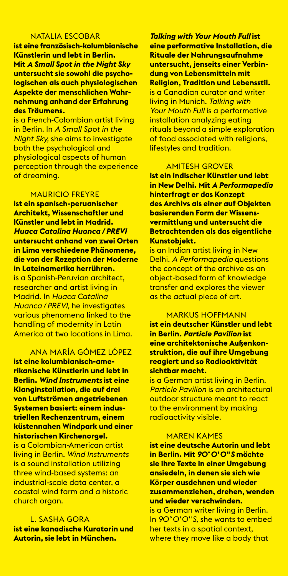#### nataLia escobar

**ist eine französisch-kolumbianische Künstlerin und lebt in Berlin. Mit** *A Small Spot in the Night Sky*  **untersucht sie sowohl die psychologischen als auch physiologischen Aspekte der menschlichen Wahrnehmung anhand der Erfahrung des Träumens.**

is a French-colombian artist living in berlin. in *A Small Spot in the Night Sky,* she aims to investigate both the psychological and physiological aspects of human perception through the experience of dreaming.

#### Mauricio Freyre

**ist ein spanisch-peruanischer Architekt, Wissenschaftler und Künstler und lebt in Madrid.**  *Huaca Catalina Huanca / PREVI*  **untersucht anhand von zwei Orten in Lima verschiedene Phänomene, die von der Rezeption der Moderne in Lateinamerika herrühren.**  is a spanish-Peruvian architect, researcher and artist living in Madrid. in *Huaca Catalina Huanca / PREVI,* he investigates various phenomena linked to the handling of modernity in Latin America at two locations in Lima.

#### ana María GóMez LóPez

**ist eine kolumbianisch-amerikanische Künstlerin und lebt in Berlin.** *Wind Instruments* **ist eine Klanginstallation, die auf drei von Luftströmen angetriebenen Systemen basiert: einem industriellen Rechenzentrum, einem küstennahen Windpark und einer historischen Kirchenorgel.**  is a Colombian-American artist living in berlin. *Wind Instruments*  is a sound installation utilizing three wind-based systems: an industrial-scale data center, a coastal wind farm and a historic church organ.

#### L. sasha Gora

**ist eine kanadische Kuratorin und Autorin, sie lebt in München.** 

*Talking with Your Mouth Full* **ist eine performative Installation, die Rituale der Nahrungsaufnahme untersucht, jenseits einer Verbindung von Lebensmitteln mit Religion, Tradition und Lebensstil.**  is a canadian curator and writer living in Munich. *Talking with Your Mouth Full* is a performative installation analyzing eating rituals beyond a simple exploration of food associated with religions, lifestyles and tradition.

#### aMitesh GroVer

**ist ein indischer Künstler und lebt in New Delhi. Mit** *A Performapedia*  **hinterfragt er das Konzept des Archivs als einer auf Objekten basierenden Form der Wissensvermittlung und untersucht die Betrachtenden als das eigentliche Kunstobjekt.**

is an Indian artist living in New Delhi. *A Performapedia* questions the concept of the archive as an object-based form of knowledge transfer and explores the viewer as the actual piece of art.

#### MarKus hoFFMann

**ist ein deutscher Künstler und lebt in Berlin.** *Particle Pavilion* **ist eine architektonische Außenkonstruktion, die auf ihre Umgebung reagiert und so Radioaktivität sichtbar macht.** 

is a German artist living in berlin. *Particle Pavilion* is an architectural outdoor structure meant to react to the environment by making radioactivity visible.

#### Maren KaMes

**ist eine deutsche Autorin und lebt in Berlin. Mit** *90° 0' 0" S* **möchte sie ihre Texte in einer Umgebung ansiedeln, in denen sie sich wie Körper ausdehnen und wieder zusammenziehen, drehen, wenden und wieder verschwinden.** 

is a German writer living in berlin. in *90° 0' 0" S,* she wants to embed her texts in a spatial context, where they move like a body that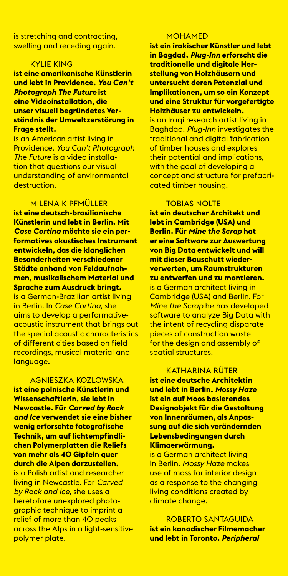is stretching and contracting, swelling and receding again.

#### KyLie KinG

**ist eine amerikanische Künstlerin und lebt in Providence.** *You Can't Photograph The Future* **ist eine Videoinstallation, die unser visuell begründetes Verständnis der Umweltzerstörung in Frage stellt.** 

is an American artist living in Providence. *You Can't Photograph The Future* is a video installation that questions our visual understanding of environmental destruction.

# MiLena KiPFMüLLer

**ist eine deutsch-brasilianische Künstlerin und lebt in Berlin. Mit**  *Case Cortina* **möchte sie ein performatives akustisches Instrument entwickeln, das die klanglichen Besonderheiten verschiedener Städte anhand von Feldaufnahmen, musikalischem Material und Sprache zum Ausdruck bringt.**  is a German-brazilian artist living in berlin. in *Case Cortina,* she aims to develop a performativeacoustic instrument that brings out the special acoustic characteristics of different cities based on field recordings, musical material and language.

aGnieszKa KozLowsKa **ist eine polnische Künstlerin und Wissenschaftlerin, sie lebt in Newcastle. Für** *Carved by Rock and Ice* **verwendet sie eine bisher wenig erforschte fotografische Technik, um auf lichtempfindlichen Polymerplatten die Reliefs von mehr als 40 Gipfeln quer durch die Alpen darzustellen.** is a Polish artist and researcher **living in Newcastle. For Carved** *by Rock and Ice,* she uses a heretofore unexplored photographic technique to imprint a relief of more than 40 peaks across the Alps in a light-sensitive polymer plate.

#### **MOHAMED**

**ist ein irakischer Künstler und lebt in Bagdad.** *Plug-Inn* **erforscht die traditionelle und digitale Herstellung von Holzhäusern und untersucht deren Potenzial und Implikationen, um so ein Konzept und eine Struktur für vorgefertigte Holzhäuser zu entwickeln.**

is an Iraqi research artist living in baghdad. *Plug-Inn* investigates the traditional and digital fabrication of timber houses and explores their potential and implications, with the goal of developing a concept and structure for prefabricated timber housing.

#### TOBIAS NOLTE

**ist ein deutscher Architekt und lebt in Cambridge (USA) und Berlin. Für** *Mine the Scrap* **hat er eine Software zur Auswertung von Big Data entwickelt und will mit dieser Bauschutt wiederverwerten, um Raumstrukturen zu entwerfen und zu montieren.**  is a German architect living in **Cambridge (USA) and Berlin. For** *Mine the Scrap* he has developed software to analyze Bia Data with the intent of recycling disparate pieces of construction waste for the design and assembly of spatial structures.

#### Katharina rüter

**ist eine deutsche Architektin und lebt in Berlin.** *Mossy Haze*  **ist ein auf Moos basierendes Designobjekt für die Gestaltung von Innenräumen, als Anpassung auf die sich verändernden Lebensbedingungen durch Klimaerwärmung.**

is a German architect living in berlin. *Mossy Haze* makes use of moss for interior design as a response to the changing living conditions created by climate change.

roberto santaGuiDa **ist ein kanadischer Filmemacher und lebt in Toronto.** *Peripheral*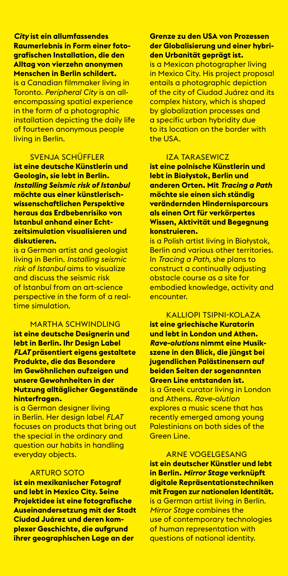### *City* **ist ein allumfassendes Raumerlebnis in Form einer fotografischen Installation, die den Alltag von vierzehn anonymen Menschen in Berlin schildert.**

is a canadian filmmaker living in toronto. *Peripheral City* is an allencompassing spatial experience in the form of a photographic installation depicting the daily life of fourteen anonymous people living in berlin.

# **SVENJA SCHÜFFLER**

**ist eine deutsche Künstlerin und Geologin, sie lebt in Berlin.**  *Installing Seismic risk of Istanbul*  **möchte aus einer künstlerischwissenschaftlichen Perspektive heraus das Erdbebenrisiko von Istanbul anhand einer Echtzeitsimulation visualisieren und diskutieren.**

is a German artist and geologist living in berlin. *Installing seismic risk of Istanbul* aims to visualize and discuss the seismic risk of istanbul from an art-science perspective in the form of a realtime simulation.

#### Martha schwinDLinG

**ist eine deutsche Designerin und lebt in Berlin. Ihr Design Label**  *FLAT* **präsentiert eigens gestaltete Produkte, die das Besondere im Gewöhnlichen aufzeigen und unsere Gewohnheiten in der Nutzung alltäglicher Gegenstände hinterfragen.**

is a German designer living in berlin. her design label *FLAT*  focuses on products that bring out the special in the ordinary and question our habits in handling everyday objects.

#### arturo soto

**ist ein mexikanischer Fotograf und lebt in Mexico City. Seine Projektidee ist eine fotografische Auseinandersetzung mit der Stadt Ciudad Juárez und deren komplexer Geschichte, die aufgrund ihrer geographischen Lage an der** 

# **Grenze zu den USA von Prozessen der Globalisierung und einer hybriden Urbanität geprägt ist.**

is a Mexican photographer living in Mexico City. His project proposal entails a photographic depiction of the city of ciudad Juárez and its complex history, which is shaped by globalization processes and a specific urban hybridity due to its location on the border with the USA.

#### iza tarasewicz

**ist eine polnische Künstlerin und lebt in Białystok, Berlin und anderen Orten. Mit** *Tracing a Path*  **möchte sie einen sich ständig verändernden Hindernisparcours als einen Ort für verkörpertes Wissen, Aktivität und Begegnung konstruieren.** 

is a Polish artist living in białystok, **Berlin and various other territories.** in *Tracing a Path,* she plans to construct a continually adjusting obstacle course as a site for embodied knowledge, activity and encounter.

# KaLLioPi tsiPni-KoLaza

**ist eine griechische Kuratorin und lebt in London und Athen.**  *Rave-olutions* **nimmt eine Musikszene in den Blick, die jüngst bei jugendlichen Palästinensern auf beiden Seiten der sogenannten Green Line entstanden ist.** 

is a Greek curator living in London and athens. *Rave-olution*  explores a music scene that has recently emerged among young Palestinians on both sides of the Green Line.

#### arne VoGeLGesanG **ist ein deutscher Künstler und lebt in Berlin.** *Mirror Stage* **verknüpft digitale Repräsentationstechniken mit Fragen zur nationalen Identität.**  is a German artist living in berlin. *Mirror Stage* combines the use of contemporary technologies of human representation with questions of national identity.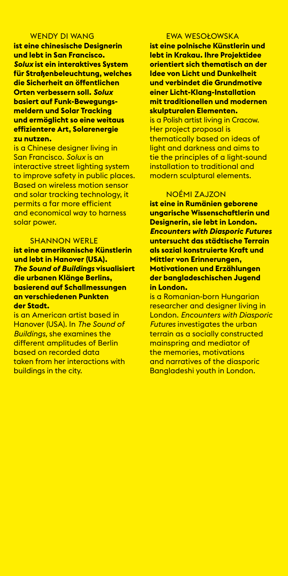#### WENDY DI WANG

**ist eine chinesische Designerin und lebt in San Francisco.**  *Solux* **ist ein interaktives System für Straßenbeleuchtung, welches die Sicherheit an öffentlichen Orten verbessern soll.** *Solux*  **basiert auf Funk-Bewegungsmeldern und Solar Tracking und ermöglicht so eine weitaus effizientere Art, Solarenergie zu nutzen.**

is a chinese designer living in san Francisco. *Solux* is an interactive street lighting system to improve safety in public places. **Based on wireless motion sensor** and solar tracking technology, it permits a far more efficient and economical way to harness solar power.

#### **SHANNON WERLE**

**ist eine amerikanische Künstlerin und lebt in Hanover (USA).**  *The Sound of Buildings* **visualisiert die urbanen Klänge Berlins, basierend auf Schallmessungen an verschiedenen Punkten der Stadt.** 

is an American artist based in hanover (usa). in *The Sound of Buildings,* she examines the different amplitudes of berlin based on recorded data taken from her interactions with buildings in the city.

#### ewa wesołowsKa

**ist eine polnische Künstlerin und lebt in Krakau. Ihre Projektidee orientiert sich thematisch an der Idee von Licht und Dunkelheit und verbindet die Grundmotive einer Licht-Klang-Installation mit traditionellen und modernen skulpturalen Elementen.** 

is a Polish artist living in Cracow. Her project proposal is thematically based on ideas of light and darkness and aims to tie the principles of a light-sound installation to traditional and modern sculptural elements.

#### noéMi zaJzon

**ist eine in Rumänien geborene ungarische Wissenschaftlerin und Designerin, sie lebt in London.**  *Encounters with Diasporic Futures*  **untersucht das städtische Terrain als sozial konstruierte Kraft und Mittler von Erinnerungen, Motivationen und Erzählungen der bangladeschischen Jugend in London.**

is a Romanian-born Hungarian researcher and designer living in London. *Encounters with Diasporic Futures* investigates the urban terrain as a socially constructed mainspring and mediator of the memories, motivations and narratives of the diasporic Bangladeshi youth in London.